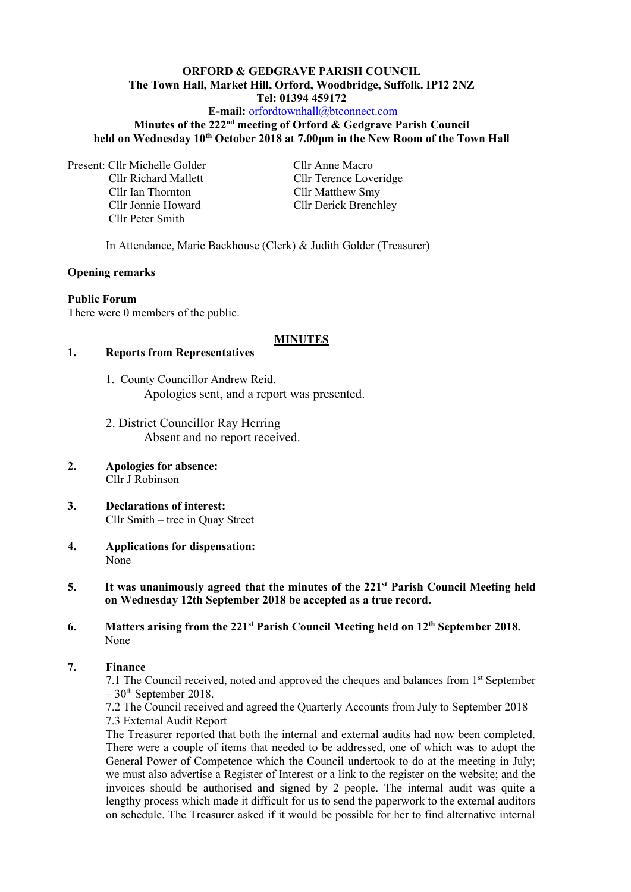# **ORFORD & GEDGRAVE PARISH COUNCIL The Town Hall, Market Hill, Orford, Woodbridge, Suffolk. IP12 2NZ Tel: 01394 459172**

## **E-mail:** [orfordtownhall@btconnect.com](mailto:orfordtownhall@btconnect.com)

### **Minutes of the 222 nd meeting of Orford & Gedgrave Parish Council held on Wednesday 10 th October 2018 at 7.00pm in the New Room of the Town Hall**

Present: Cllr Michelle Golder Cllr Anne Macro Cllr Ian Thornton<br>
Cllr Matthew Smy<br>
Cllr Derick Brench<br>
Cllr Derick Brench Cllr Peter Smith

Cllr Richard Mallett Cllr Terence Loveridge Cllr Derick Brenchley

In Attendance, Marie Backhouse (Clerk) & Judith Golder (Treasurer)

### **Opening remarks**

#### **Public Forum**

There were 0 members of the public.

#### **MINUTES**

### **1. Reports from Representatives**

- 1. County Councillor Andrew Reid. Apologies sent, and a report was presented.
- 2. District Councillor Ray Herring Absent and no report received.
- **2. Apologies for absence:** Cllr J Robinson
- **3. Declarations of interest:** Cllr Smith – tree in Quay Street
- **4. Applications for dispensation:** None
- 5. It was unanimously agreed that the minutes of the 221<sup>st</sup> Parish Council Meeting held **on Wednesday 12th September 2018 be accepted as a true record.**
- **6.** Matters arising from the 221<sup>st</sup> Parish Council Meeting held on 12<sup>th</sup> September 2018. None

### **7. Finance**

7.1 The Council received, noted and approved the cheques and balances from 1<sup>st</sup> September  $-30<sup>th</sup>$  September 2018.

7.2 The Council received and agreed the Quarterly Accounts from July to September 2018 7.3 External Audit Report

The Treasurer reported that both the internal and external audits had now been completed. There were a couple of items that needed to be addressed, one of which was to adopt the General Power of Competence which the Council undertook to do at the meeting in July; we must also advertise a Register of Interest or a link to the register on the website; and the invoices should be authorised and signed by 2 people. The internal audit was quite a lengthy process which made it difficult for us to send the paperwork to the external auditors on schedule. The Treasurer asked if it would be possible for her to find alternative internal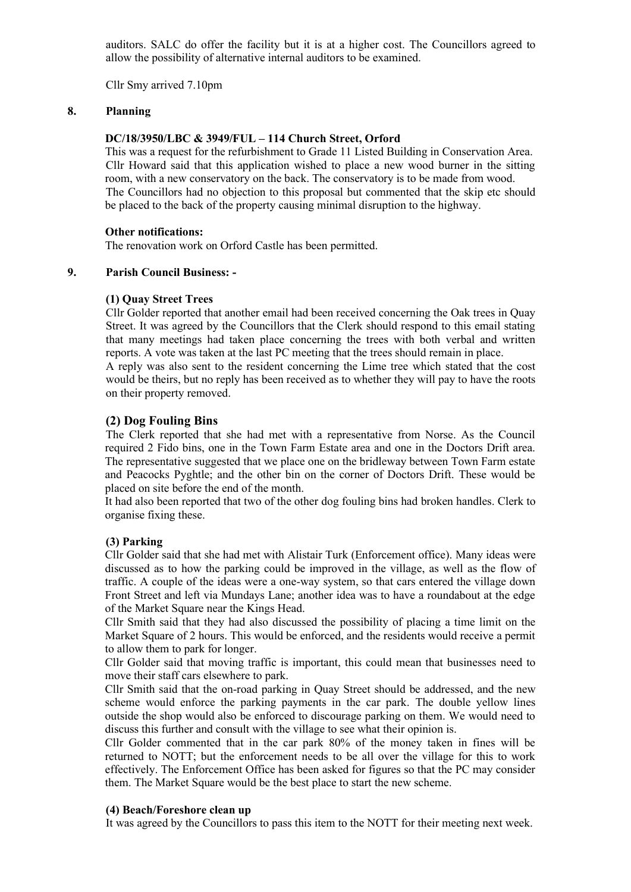auditors. SALC do offer the facility but it is at a higher cost. The Councillors agreed to allow the possibility of alternative internal auditors to be examined.

Cllr Smy arrived 7.10pm

### **8. Planning**

#### **DC/18/3950/LBC & 3949/FUL – 114 Church Street, Orford**

This was a request for the refurbishment to Grade 11 Listed Building in Conservation Area. Cllr Howard said that this application wished to place a new wood burner in the sitting room, with a new conservatory on the back. The conservatory is to be made from wood. The Councillors had no objection to this proposal but commented that the skip etc should be placed to the back of the property causing minimal disruption to the highway.

#### **Other notifications:**

The renovation work on Orford Castle has been permitted.

### **9. Parish Council Business: -**

#### **(1) Quay Street Trees**

Cllr Golder reported that another email had been received concerning the Oak trees in Quay Street. It was agreed by the Councillors that the Clerk should respond to this email stating that many meetings had taken place concerning the trees with both verbal and written reports. A vote was taken at the last PC meeting that the trees should remain in place.

A reply was also sent to the resident concerning the Lime tree which stated that the cost would be theirs, but no reply has been received as to whether they will pay to have the roots on their property removed.

### **(2) Dog Fouling Bins**

The Clerk reported that she had met with a representative from Norse. As the Council required 2 Fido bins, one in the Town Farm Estate area and one in the Doctors Drift area. The representative suggested that we place one on the bridleway between Town Farm estate and Peacocks Pyghtle; and the other bin on the corner of Doctors Drift. These would be placed on site before the end of the month.

It had also been reported that two of the other dog fouling bins had broken handles. Clerk to organise fixing these.

### **(3) Parking**

Cllr Golder said that she had met with Alistair Turk (Enforcement office). Many ideas were discussed as to how the parking could be improved in the village, as well as the flow of traffic. A couple of the ideas were a one-way system, so that cars entered the village down Front Street and left via Mundays Lane; another idea was to have a roundabout at the edge of the Market Square near the Kings Head.

Cllr Smith said that they had also discussed the possibility of placing a time limit on the Market Square of 2 hours. This would be enforced, and the residents would receive a permit to allow them to park for longer.

Cllr Golder said that moving traffic is important, this could mean that businesses need to move their staff cars elsewhere to park.

Cllr Smith said that the on-road parking in Quay Street should be addressed, and the new scheme would enforce the parking payments in the car park. The double yellow lines outside the shop would also be enforced to discourage parking on them. We would need to discuss this further and consult with the village to see what their opinion is.

Cllr Golder commented that in the car park 80% of the money taken in fines will be returned to NOTT; but the enforcement needs to be all over the village for this to work effectively. The Enforcement Office has been asked for figures so that the PC may consider them. The Market Square would be the best place to start the new scheme.

#### **(4) Beach/Foreshore clean up**

It was agreed by the Councillors to pass this item to the NOTT for their meeting next week.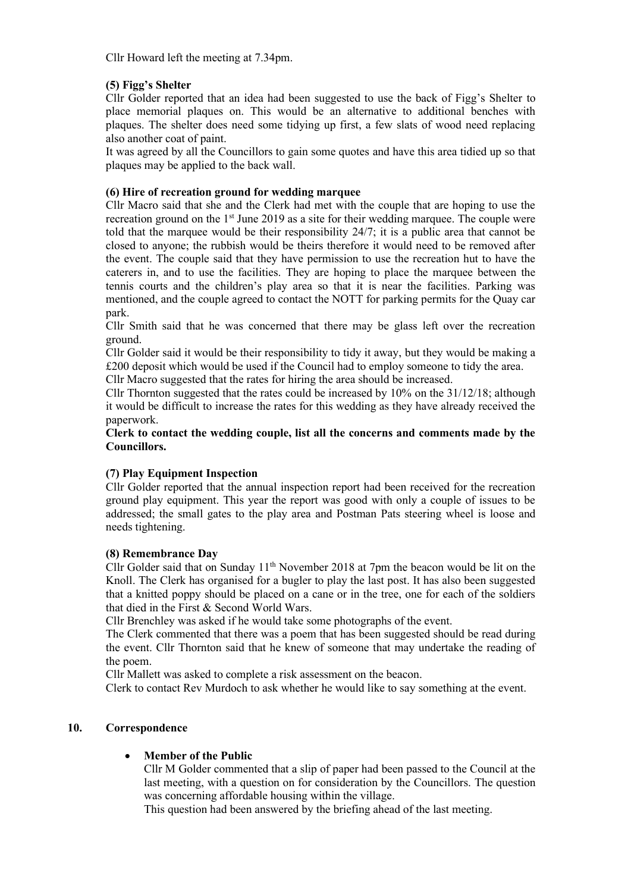Cllr Howard left the meeting at 7.34pm.

## **(5) Figg's Shelter**

Cllr Golder reported that an idea had been suggested to use the back of Figg's Shelter to place memorial plaques on. This would be an alternative to additional benches with plaques. The shelter does need some tidying up first, a few slats of wood need replacing also another coat of paint.

It was agreed by all the Councillors to gain some quotes and have this area tidied up so that plaques may be applied to the back wall.

## **(6) Hire of recreation ground for wedding marquee**

Cllr Macro said that she and the Clerk had met with the couple that are hoping to use the recreation ground on the  $1<sup>st</sup>$  June 2019 as a site for their wedding marquee. The couple were told that the marquee would be their responsibility 24/7; it is a public area that cannot be closed to anyone; the rubbish would be theirs therefore it would need to be removed after the event. The couple said that they have permission to use the recreation hut to have the caterers in, and to use the facilities. They are hoping to place the marquee between the tennis courts and the children's play area so that it is near the facilities. Parking was mentioned, and the couple agreed to contact the NOTT for parking permits for the Quay car park.

Cllr Smith said that he was concerned that there may be glass left over the recreation ground.

Cllr Golder said it would be their responsibility to tidy it away, but they would be making a £200 deposit which would be used if the Council had to employ someone to tidy the area.

Cllr Macro suggested that the rates for hiring the area should be increased.

Cllr Thornton suggested that the rates could be increased by 10% on the 31/12/18; although it would be difficult to increase the rates for this wedding as they have already received the paperwork.

**Clerk to contact the wedding couple, list all the concerns and comments made by the Councillors.**

## **(7) Play Equipment Inspection**

Cllr Golder reported that the annual inspection report had been received for the recreation ground play equipment. This year the report was good with only a couple of issues to be addressed; the small gates to the play area and Postman Pats steering wheel is loose and needs tightening.

## **(8) Remembrance Day**

Cllr Golder said that on Sunday  $11<sup>th</sup>$  November 2018 at 7pm the beacon would be lit on the Knoll. The Clerk has organised for a bugler to play the last post. It has also been suggested that a knitted poppy should be placed on a cane or in the tree, one for each of the soldiers that died in the First & Second World Wars.

Cllr Brenchley was asked if he would take some photographs of the event.

The Clerk commented that there was a poem that has been suggested should be read during the event. Cllr Thornton said that he knew of someone that may undertake the reading of the poem.

Cllr Mallett was asked to complete a risk assessment on the beacon.

Clerk to contact Rev Murdoch to ask whether he would like to say something at the event.

## **10. Correspondence**

## • **Member of the Public**

Cllr M Golder commented that a slip of paper had been passed to the Council at the last meeting, with a question on for consideration by the Councillors. The question was concerning affordable housing within the village.

This question had been answered by the briefing ahead of the last meeting.